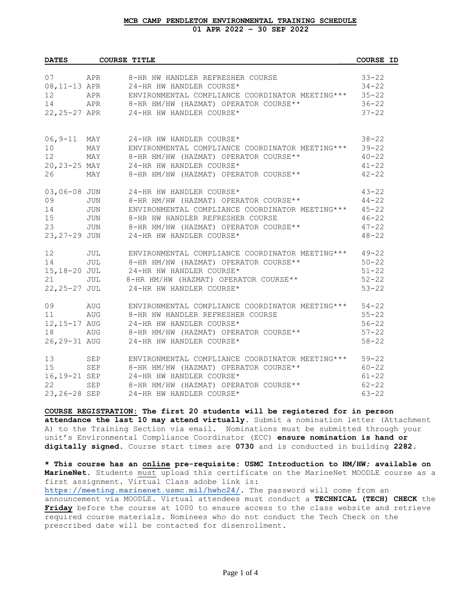## **MCB CAMP PENDLETON ENVIRONMENTAL TRAINING SCHEDULE 01 APR 2022 – 30 SEP 2022**

| <b>DATES</b>    |            | <b>COURSE TITLE</b>                                    | COURSE ID |  |
|-----------------|------------|--------------------------------------------------------|-----------|--|
|                 |            | 07 APR 8-HR HW HANDLER REFRESHER COURSE                |           |  |
|                 |            |                                                        | $33 - 22$ |  |
| 08,11-13 APR    |            | 24-HR HW HANDLER COURSE*                               | $34 - 22$ |  |
| 12              | APR        | ENVIRONMENTAL COMPLIANCE COORDINATOR MEETING ***       | $35 - 22$ |  |
| 14              |            | APR 8-HR HM/HW (HAZMAT) OPERATOR COURSE**              | $36 - 22$ |  |
|                 |            | 22, 25-27 APR 24-HR HW HANDLER COURSE*                 | $37 - 22$ |  |
| 06,9-11 MAY     |            | 24-HR HW HANDLER COURSE*                               | $38 - 22$ |  |
| 10              |            | MAY ENVIRONMENTAL COMPLIANCE COORDINATOR MEETING***    | $39 - 22$ |  |
| 12 <sup>°</sup> | MAY        | 8-HR HM/HW (HAZMAT) OPERATOR COURSE**                  | $40 - 22$ |  |
| 20,23-25 MAY    |            | 24-HR HW HANDLER COURSE*                               | $41 - 22$ |  |
| 26              | MAY        | 8-HR HM/HW (HAZMAT) OPERATOR COURSE**                  | $42 - 22$ |  |
| 03,06-08 JUN    |            | 24-HR HW HANDLER COURSE*                               | $43 - 22$ |  |
| 09              | <b>JUN</b> | 8-HR HM/HW (HAZMAT) OPERATOR COURSE**                  | $44 - 22$ |  |
| 14              | <b>JUN</b> | ENVIRONMENTAL COMPLIANCE COORDINATOR MEETING *** 45-22 |           |  |
| 15              |            | JUN 8-HR HW HANDLER REFRESHER COURSE                   | $46 - 22$ |  |
| 23              |            | JUN 8-HR HM/HW (HAZMAT) OPERATOR COURSE**              | $47 - 22$ |  |
|                 |            | 23, 27-29 JUN 24-HR HW HANDLER COURSE*                 | $48 - 22$ |  |
| 12 <sup>°</sup> |            | JUL ENVIRONMENTAL COMPLIANCE COORDINATOR MEETING***    | $49 - 22$ |  |
| 14              |            | JUL 8-HR HM/HW (HAZMAT) OPERATOR COURSE**              | $50 - 22$ |  |
|                 |            | 15,18-20 JUL 24-HR HW HANDLER COURSE*                  | $51 - 22$ |  |
| 21              | JUL        | 8-HR HM/HW (HAZMAT) OPERATOR COURSE**                  | $52 - 22$ |  |
| 22,25-27 JUL    |            | 24-HR HW HANDLER COURSE*                               | $53 - 22$ |  |
| 09              |            | AUG ENVIRONMENTAL COMPLIANCE COORDINATOR MEETING***    | $54 - 22$ |  |
| 11              |            | AUG 8-HR HW HANDLER REFRESHER COURSE                   | $55 - 22$ |  |
|                 |            | 12,15-17 AUG 24-HR HW HANDLER COURSE*                  | $56 - 22$ |  |
| 18              |            | AUG 8-HR HM/HW (HAZMAT) OPERATOR COURSE**              | $57 - 22$ |  |
|                 |            | 26, 29-31 AUG 24-HR HW HANDLER COURSE*                 | $58 - 22$ |  |
| 13              |            | SEP ENVIRONMENTAL COMPLIANCE COORDINATOR MEETING ***   | $59 - 22$ |  |
| 15              |            | SEP 8-HR HM/HW (HAZMAT) OPERATOR COURSE**              | $60 - 22$ |  |
| 16,19-21 SEP    |            | 24-HR HW HANDLER COURSE*                               | $61 - 22$ |  |
| 22              | SEP        | 8-HR HM/HW (HAZMAT) OPERATOR COURSE**                  | $62 - 22$ |  |
| 23, 26-28 SEP   |            | 24-HR HW HANDLER COURSE*                               | $63 - 22$ |  |

**COURSE REGISTRATION: The first 20 students will be registered for in person attendance the last 10 may attend virtually.** Submit a nomination letter (Attachment A) to the Training Section via email. Nominations must be submitted through your unit's Environmental Compliance Coordinator (ECC) **ensure nomination is hand or digitally signed**. Course start times are **0730** and is conducted in building **2282**.

**\* This course has an online pre-requisite: USMC Introduction to HM/HW; available on MarineNet**. Students must upload this certificate on the MarineNet MOODLE course as a first assignment. Virtual Class adobe link is: **<https://meeting.marinenet.usmc.mil/hwhc24/>**. The password will come from an announcement via MOODLE. Virtual attendees must conduct a **TECHNICAL (TECH) CHECK** the **Friday** before the course at 1000 to ensure access to the class website and retrieve required course materials. Nominees who do not conduct the Tech Check on the prescribed date will be contacted for disenrollment.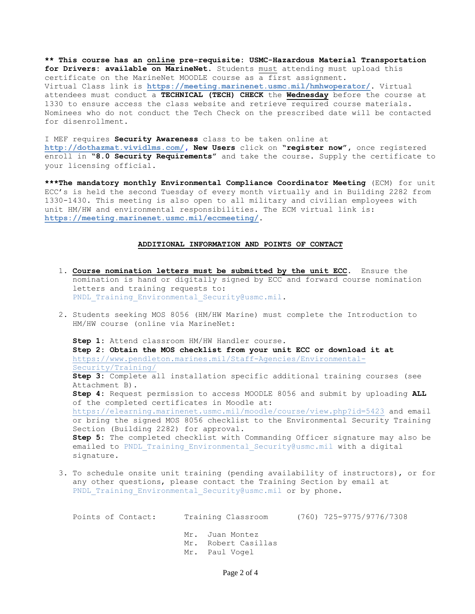**\*\* This course has an online pre-requisite: USMC-Hazardous Material Transportation for Drivers: available on MarineNet.** Students must attending must upload this certificate on the MarineNet MOODLE course as a first assignment. Virtual Class link is **<https://meeting.marinenet.usmc.mil/hmhwoperator/>**. Virtual attendees must conduct a **TECHNICAL (TECH) CHECK** the **Wednesday** before the course at 1330 to ensure access the class website and retrieve required course materials. Nominees who do not conduct the Tech Check on the prescribed date will be contacted for disenrollment.

I MEF requires **Security Awareness** class to be taken online at **[http://dothazmat.vividlms.com/,](http://dothazmat.vividlms.com/) New Users** click on **"register now",** once registered enroll in **"8.0 Security Requirements"** and take the course. Supply the certificate to your licensing official.

**\*\*\*The mandatory monthly Environmental Compliance Coordinator Meeting** (ECM) for unit ECC's is held the second Tuesday of every month virtually and in Building 2282 from 1330-1430. This meeting is also open to all military and civilian employees with unit HM/HW and environmental responsibilities. The ECM virtual link is: **<https://meeting.marinenet.usmc.mil/eccmeeting/>**.

## **ADDITIONAL INFORMATION AND POINTS OF CONTACT**

- 1. **Course nomination letters must be submitted by the unit ECC**. Ensure the nomination is hand or digitally signed by ECC and forward course nomination letters and training requests to: PNDL Training Environmental Security@usmc.mil.
- 2. Students seeking MOS 8056 (HM/HW Marine) must complete the Introduction to HM/HW course (online via MarineNet:

**Step 1:** Attend classroom HM/HW Handler course. **Step 2: Obtain the MOS checklist from your unit ECC or download it at** [https://www.pendleton.marines.mil/Staff-Agencies/Environmental-](https://www.pendleton.marines.mil/Staff-Agencies/Environmental-Security/Training/)[Security/Training/](https://www.pendleton.marines.mil/Staff-Agencies/Environmental-Security/Training/) **Step 3:** Complete all installation specific additional training courses (see Attachment B). **Step 4:** Request permission to access MOODLE 8056 and submit by uploading **ALL** of the completed certificates in Moodle at: <https://elearning.marinenet.usmc.mil/moodle/course/view.php?id=5423> and email or bring the signed MOS 8056 checklist to the Environmental Security Training Section (Building 2282) for approval. **Step 5:** The completed checklist with Commanding Officer signature may also be emailed to PNDL Training Environmental Security@usmc.mil with a digital signature.

3. To schedule onsite unit training (pending availability of instructors), or for any other questions, please contact the Training Section by email at PNDL Training Environmental Security@usmc.mil or by phone.

| Points of Contact: | Training Classroom                                       | (760) 725-9775/9776/7308 |
|--------------------|----------------------------------------------------------|--------------------------|
|                    | Mr. Juan Montez<br>Mr. Robert Casillas<br>Mr. Paul Vogel |                          |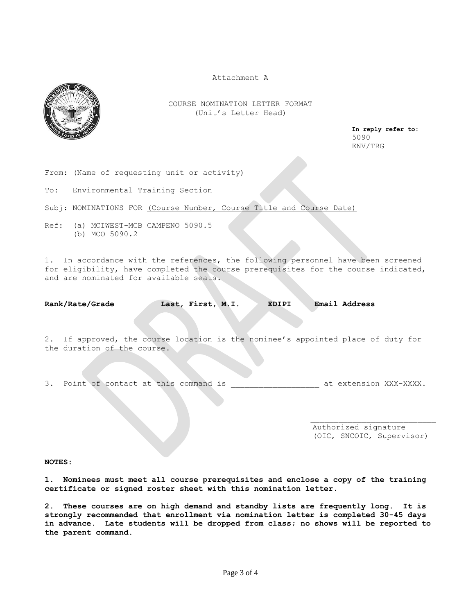Attachment A



COURSE NOMINATION LETTER FORMAT (Unit's Letter Head)

 **In reply refer to:** 5090 ENV/TRG

From: (Name of requesting unit or activity)

To: Environmental Training Section

Subj: NOMINATIONS FOR (Course Number, Course Title and Course Date)

Ref: (a) MCIWEST-MCB CAMPENO 5090.5 (b) MCO 5090.2

1. In accordance with the references, the following personnel have been screened for eligibility, have completed the course prerequisites for the course indicated, and are nominated for available seats.

**Rank/Rate/Grade Last, First, M.I. EDIPI Email Address**

2. If approved, the course location is the nominee's appointed place of duty for the duration of the course.

3. Point of contact at this command is  $\qquad \qquad$  at extension XXX-XXXX.

 $\mathcal{L}=\mathcal{L}$  , we can assume that the contribution of the contribution of the contribution of the contribution of the contribution of the contribution of the contribution of the contribution of the contribution of the c

 Authorized signature (OIC, SNCOIC, Supervisor)

**NOTES:**

**1. Nominees must meet all course prerequisites and enclose a copy of the training certificate or signed roster sheet with this nomination letter**.

**2. These courses are on high demand and standby lists are frequently long. It is strongly recommended that enrollment via nomination letter is completed 30-45 days in advance. Late students will be dropped from class; no shows will be reported to the parent command.**